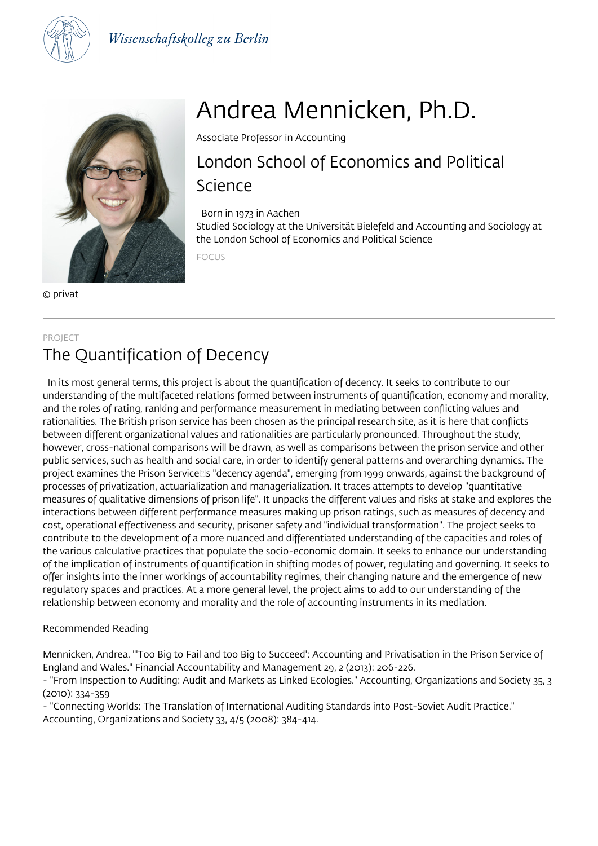



© privat

# Andrea Mennicken, Ph.D.

Associate Professor in Accounting

## London School of Economics and Political Science

#### Born in 1973 in Aachen

Studied Sociology at the Universität Bielefeld and Accounting and Sociology at the London School of Economics and Political Science

FOCUS

#### PROJECT

### The Quantification of Decency

 In its most general terms, this project is about the quantification of decency. It seeks to contribute to our understanding of the multifaceted relations formed between instruments of quantification, economy and morality, and the roles of rating, ranking and performance measurement in mediating between conflicting values and rationalities. The British prison service has been chosen as the principal research site, as it is here that conflicts between different organizational values and rationalities are particularly pronounced. Throughout the study, however, cross-national comparisons will be drawn, as well as comparisons between the prison service and other public services, such as health and social care, in order to identify general patterns and overarching dynamics. The project examines the Prison Services "decency agenda", emerging from 1999 onwards, against the background of processes of privatization, actuarialization and managerialization. It traces attempts to develop "quantitative measures of qualitative dimensions of prison life". It unpacks the different values and risks at stake and explores the interactions between different performance measures making up prison ratings, such as measures of decency and cost, operational effectiveness and security, prisoner safety and "individual transformation". The project seeks to contribute to the development of a more nuanced and differentiated understanding of the capacities and roles of the various calculative practices that populate the socio-economic domain. It seeks to enhance our understanding of the implication of instruments of quantification in shifting modes of power, regulating and governing. It seeks to offer insights into the inner workings of accountability regimes, their changing nature and the emergence of new regulatory spaces and practices. At a more general level, the project aims to add to our understanding of the relationship between economy and morality and the role of accounting instruments in its mediation.

#### Recommended Reading

Mennicken, Andrea. "'Too Big to Fail and too Big to Succeed': Accounting and Privatisation in the Prison Service of England and Wales." Financial Accountability and Management 29, 2 (2013): 206-226.

- "From Inspection to Auditing: Audit and Markets as Linked Ecologies." Accounting, Organizations and Society 35, 3 (2010): 334-359

- "Connecting Worlds: The Translation of International Auditing Standards into Post-Soviet Audit Practice." Accounting, Organizations and Society 33, 4/5 (2008): 384-414.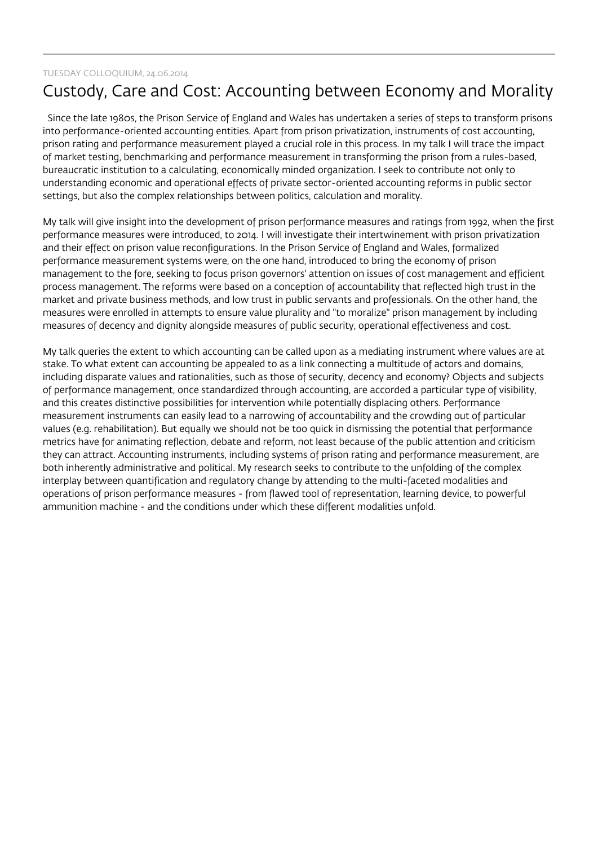#### TUESDAY COLLOQUIUM, 24.06.2014

### Custody, Care and Cost: Accounting between Economy and Morality

 Since the late 1980s, the Prison Service of England and Wales has undertaken a series of steps to transform prisons into performance-oriented accounting entities. Apart from prison privatization, instruments of cost accounting, prison rating and performance measurement played a crucial role in this process. In my talk I will trace the impact of market testing, benchmarking and performance measurement in transforming the prison from a rules-based, bureaucratic institution to a calculating, economically minded organization. I seek to contribute not only to understanding economic and operational effects of private sector-oriented accounting reforms in public sector settings, but also the complex relationships between politics, calculation and morality.

My talk will give insight into the development of prison performance measures and ratings from 1992, when the first performance measures were introduced, to 2014. I will investigate their intertwinement with prison privatization and their effect on prison value reconfigurations. In the Prison Service of England and Wales, formalized performance measurement systems were, on the one hand, introduced to bring the economy of prison management to the fore, seeking to focus prison governors' attention on issues of cost management and efficient process management. The reforms were based on a conception of accountability that reflected high trust in the market and private business methods, and low trust in public servants and professionals. On the other hand, the measures were enrolled in attempts to ensure value plurality and "to moralize" prison management by including measures of decency and dignity alongside measures of public security, operational effectiveness and cost.

My talk queries the extent to which accounting can be called upon as a mediating instrument where values are at stake. To what extent can accounting be appealed to as a link connecting a multitude of actors and domains, including disparate values and rationalities, such as those of security, decency and economy? Objects and subjects of performance management, once standardized through accounting, are accorded a particular type of visibility, and this creates distinctive possibilities for intervention while potentially displacing others. Performance measurement instruments can easily lead to a narrowing of accountability and the crowding out of particular values (e.g. rehabilitation). But equally we should not be too quick in dismissing the potential that performance metrics have for animating reflection, debate and reform, not least because of the public attention and criticism they can attract. Accounting instruments, including systems of prison rating and performance measurement, are both inherently administrative and political. My research seeks to contribute to the unfolding of the complex interplay between quantification and regulatory change by attending to the multi-faceted modalities and operations of prison performance measures - from flawed tool of representation, learning device, to powerful ammunition machine - and the conditions under which these different modalities unfold.